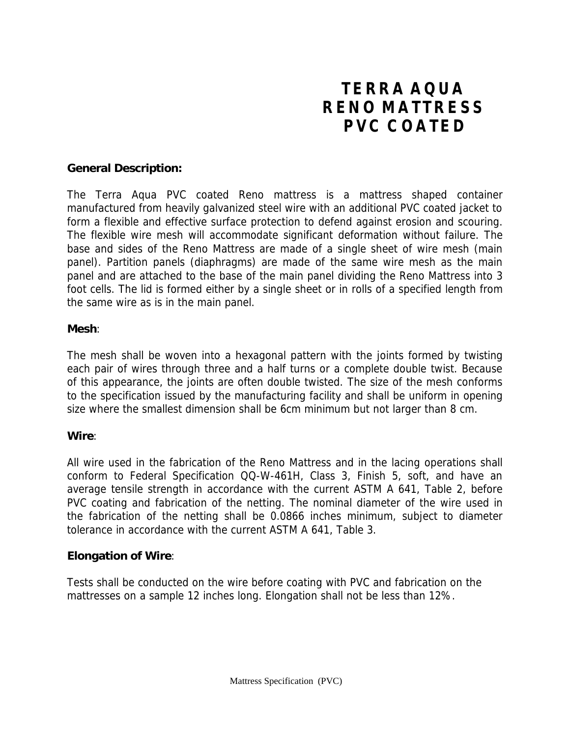# **TERRA AQUA RENO MATTRESS PVC COATED**

## **General Description:**

The Terra Aqua PVC coated Reno mattress is a mattress shaped container manufactured from heavily galvanized steel wire with an additional PVC coated jacket to form a flexible and effective surface protection to defend against erosion and scouring. The flexible wire mesh will accommodate significant deformation without failure. The base and sides of the Reno Mattress are made of a single sheet of wire mesh (main panel). Partition panels (diaphragms) are made of the same wire mesh as the main panel and are attached to the base of the main panel dividing the Reno Mattress into 3 foot cells. The lid is formed either by a single sheet or in rolls of a specified length from the same wire as is in the main panel.

## **Mesh**:

The mesh shall be woven into a hexagonal pattern with the joints formed by twisting each pair of wires through three and a half turns or a complete double twist. Because of this appearance, the joints are often double twisted. The size of the mesh conforms to the specification issued by the manufacturing facility and shall be uniform in opening size where the smallest dimension shall be 6cm minimum but not larger than 8 cm.

## **Wire**:

All wire used in the fabrication of the Reno Mattress and in the lacing operations shall conform to Federal Specification QQ-W-461H, Class 3, Finish 5, soft, and have an average tensile strength in accordance with the current ASTM A 641, Table 2, before PVC coating and fabrication of the netting. The nominal diameter of the wire used in the fabrication of the netting shall be 0.0866 inches minimum, subject to diameter tolerance in accordance with the current ASTM A 641, Table 3.

## **Elongation of Wire**:

Tests shall be conducted on the wire before coating with PVC and fabrication on the mattresses on a sample 12 inches long. Elongation shall not be less than 12%.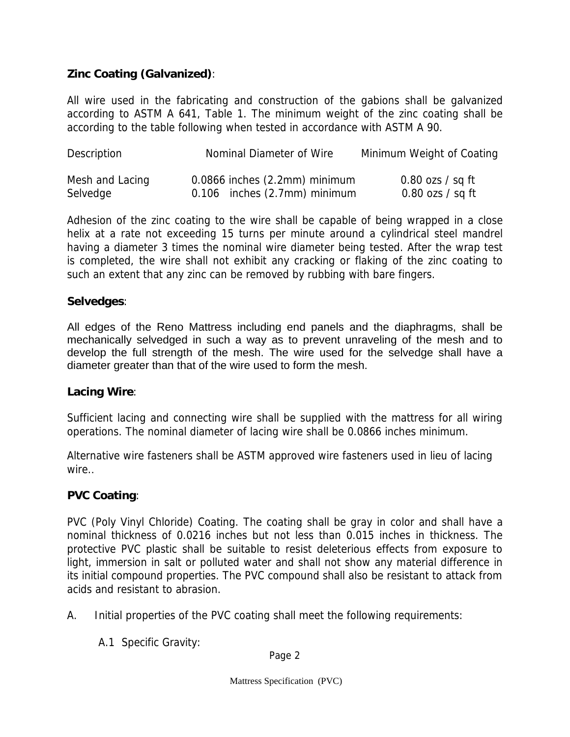## **Zinc Coating (Galvanized)**:

All wire used in the fabricating and construction of the gabions shall be galvanized according to ASTM A 641, Table 1. The minimum weight of the zinc coating shall be according to the table following when tested in accordance with ASTM A 90.

| <b>Description</b> | <b>Nominal Diameter of Wire</b>   | Minimum Weight of Coating          |
|--------------------|-----------------------------------|------------------------------------|
| Mesh and Lacing    | $0.0866$ inches $(2.2mm)$ minimum | $0.80 \text{ ozs} / \text{ sq ft}$ |
| Selvedge           | $0.106$ inches $(2.7$ mm) minimum | $0.80$ ozs $/$ sq ft               |

Adhesion of the zinc coating to the wire shall be capable of being wrapped in a close helix at a rate not exceeding 15 turns per minute around a cylindrical steel mandrel having a diameter 3 times the nominal wire diameter being tested. After the wrap test is completed, the wire shall not exhibit any cracking or flaking of the zinc coating to such an extent that any zinc can be removed by rubbing with bare fingers.

## **Selvedges**:

All edges of the Reno Mattress including end panels and the diaphragms, shall be mechanically selvedged in such a way as to prevent unraveling of the mesh and to develop the full strength of the mesh. The wire used for the selvedge shall have a diameter greater than that of the wire used to form the mesh.

## **Lacing Wire**:

Sufficient lacing and connecting wire shall be supplied with the mattress for all wiring operations. The nominal diameter of lacing wire shall be 0.0866 inches minimum.

Alternative wire fasteners shall be ASTM approved wire fasteners used in lieu of lacing wire..

## **PVC Coating**:

PVC (Poly Vinyl Chloride) Coating. The coating shall be gray in color and shall have a nominal thickness of 0.0216 inches but not less than 0.015 inches in thickness. The protective PVC plastic shall be suitable to resist deleterious effects from exposure to light, immersion in salt or polluted water and shall not show any material difference in its initial compound properties. The PVC compound shall also be resistant to attack from acids and resistant to abrasion.

- A. Initial properties of the PVC coating shall meet the following requirements:
	- A.1 Specific Gravity:

Page 2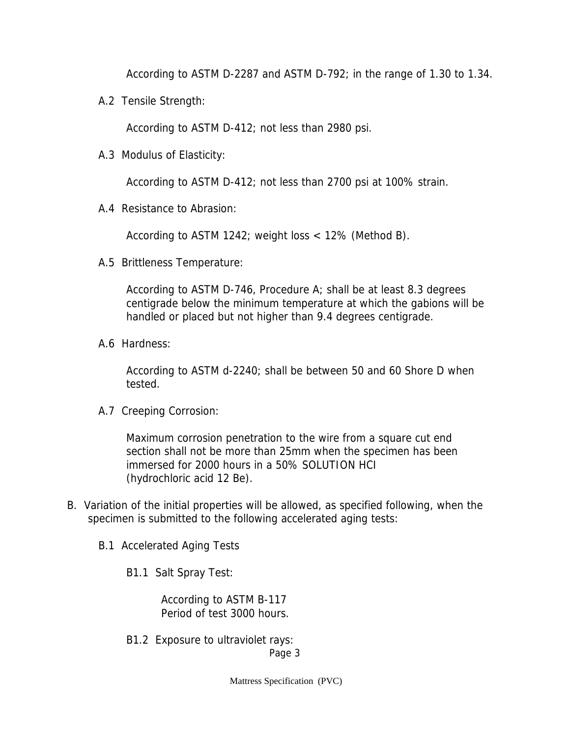According to ASTM D-2287 and ASTM D-792; in the range of 1.30 to 1.34.

A.2 Tensile Strength:

According to ASTM D-412; not less than 2980 psi.

A.3 Modulus of Elasticity:

According to ASTM D-412; not less than 2700 psi at 100% strain.

A.4 Resistance to Abrasion:

According to ASTM 1242; weight loss < 12% (Method B).

A.5 Brittleness Temperature:

 According to ASTM D-746, Procedure A; shall be at least 8.3 degrees centigrade below the minimum temperature at which the gabions will be handled or placed but not higher than 9.4 degrees centigrade.

A.6 Hardness:

 According to ASTM d-2240; shall be between 50 and 60 Shore D when tested.

A.7 Creeping Corrosion:

 Maximum corrosion penetration to the wire from a square cut end section shall not be more than 25mm when the specimen has been immersed for 2000 hours in a 50% SOLUTION HCI (hydrochloric acid 12 Be).

- B. Variation of the initial properties will be allowed, as specified following, when the specimen is submitted to the following accelerated aging tests:
	- B.1 Accelerated Aging Tests

B1.1 Salt Spray Test:

 According to ASTM B-117 Period of test 3000 hours.

 B1.2 Exposure to ultraviolet rays: Page 3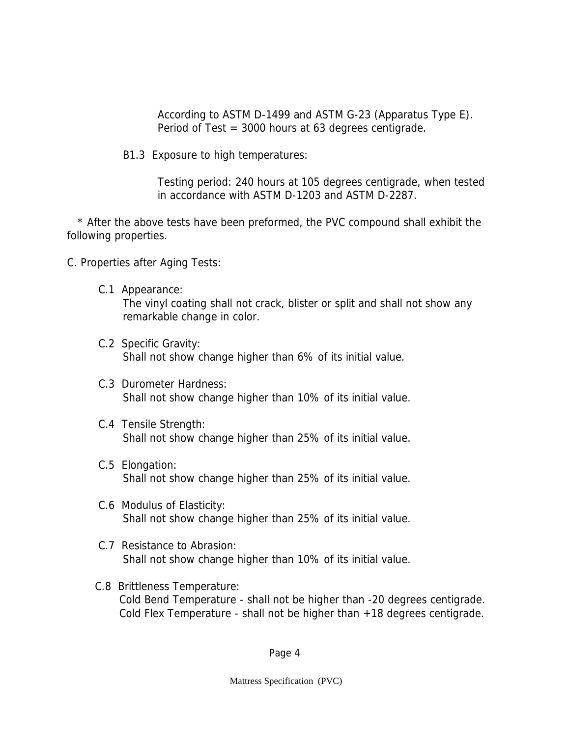According to ASTM D-1499 and ASTM G-23 (Apparatus Type E). Period of Test = 3000 hours at 63 degrees centigrade.

B1.3 Exposure to high temperatures:

 Testing period: 240 hours at 105 degrees centigrade, when tested in accordance with ASTM D-1203 and ASTM D-2287.

 \* After the above tests have been preformed, the PVC compound shall exhibit the following properties.

C. Properties after Aging Tests:

- C.1 Appearance: The vinyl coating shall not crack, blister or split and shall not show any remarkable change in color.
- C.2 Specific Gravity: Shall not show change higher than 6% of its initial value.
- C.3 Durometer Hardness: Shall not show change higher than 10% of its initial value.
- C.4 Tensile Strength: Shall not show change higher than 25% of its initial value.
- C.5 Elongation: Shall not show change higher than 25% of its initial value.
- C.6 Modulus of Elasticity: Shall not show change higher than 25% of its initial value.
- C.7 Resistance to Abrasion: Shall not show change higher than 10% of its initial value.
- C.8 Brittleness Temperature: Cold Bend Temperature - shall not be higher than -20 degrees centigrade. Cold Flex Temperature - shall not be higher than +18 degrees centigrade.

Page 4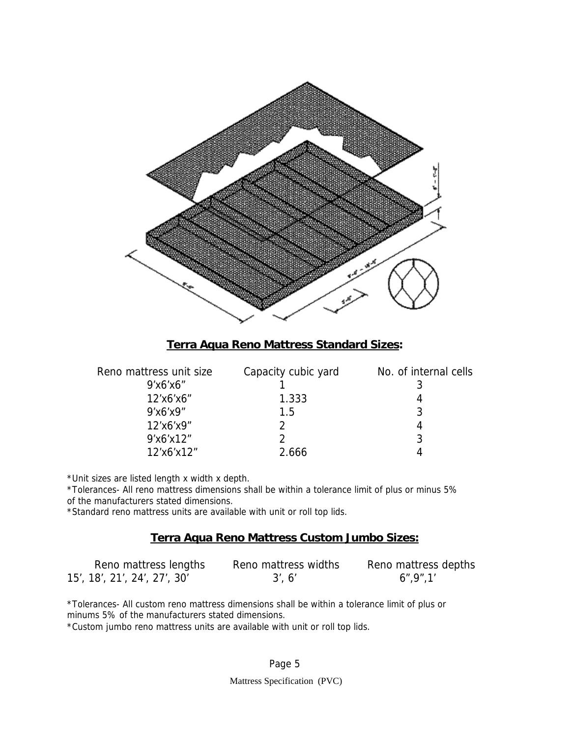

## **Terra Aqua Reno Mattress Standard Sizes:**

| Reno mattress unit size | Capacity cubic yard | No. of internal cells |
|-------------------------|---------------------|-----------------------|
| 9'x6'x6"                |                     |                       |
| 12'x6'x6"               | 1.333               |                       |
| 9'x6'x9"                | 1.5                 | 3                     |
| 12'x6'x9"               |                     |                       |
| 9'x6'x12"               |                     | 3                     |
| 12'x6'x12"              | 2.666               |                       |
|                         |                     |                       |

\*Unit sizes are listed length x width x depth.

\*Tolerances- All reno mattress dimensions shall be within a tolerance limit of plus or minus 5% of the manufacturers stated dimensions.

\*Standard reno mattress units are available with unit or roll top lids.

## **Terra Aqua Reno Mattress Custom Jumbo Sizes:**

| Reno mattress lengths        | Reno mattress widths | Reno mattress depths |
|------------------------------|----------------------|----------------------|
| 15', 18', 21', 24', 27', 30' | 3'. 6'               | 6", 9", 1"           |

\*Tolerances- All custom reno mattress dimensions shall be within a tolerance limit of plus or minums 5% of the manufacturers stated dimensions.

\*Custom jumbo reno mattress units are available with unit or roll top lids.

#### Page 5

Mattress Specification (PVC)